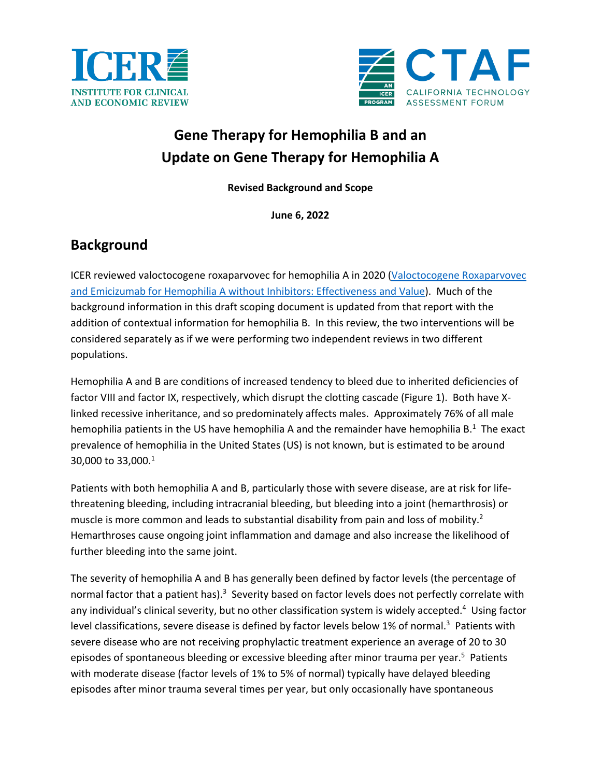



# **Gene Therapy for Hemophilia B and an Update on Gene Therapy for Hemophilia A**

**Revised Background and Scope**

**June 6, 2022**

### **Background**

ICER reviewed valoctocogene roxaparvovec for hemophilia A in 2020 [\(Valoctocogene Roxaparvovec](https://icer.org/assessment/hemophilia-a-2020/)  [and Emicizumab for Hemophilia A without Inhibitors: Effectiveness and Value\)](https://icer.org/assessment/hemophilia-a-2020/). Much of the background information in this draft scoping document is updated from that report with the addition of contextual information for hemophilia B. In this review, the two interventions will be considered separately as if we were performing two independent reviews in two different populations.

Hemophilia A and B are conditions of increased tendency to bleed due to inherited deficiencies of factor VIII and factor IX, respectively, which disrupt the clotting cascade (Figure 1). Both have Xlinked recessive inheritance, and so predominately affects males. Approximately 76% of all male hemophilia patients in the US have hemophilia A and the remainder have hemophilia  $B<sup>1</sup>$  $B<sup>1</sup>$  $B<sup>1</sup>$  The exact prevalence of hemophilia in the United States (US) is not known, but is estimated to be around  $30,000$  to  $33,000.^1$  $33,000.^1$ 

Patients with both hemophilia A and B, particularly those with severe disease, are at risk for lifethreatening bleeding, including intracranial bleeding, but bleeding into a joint (hemarthrosis) or muscle is more common and leads to substantial disability from pain and loss of mobility.<sup>2</sup> Hemarthroses cause ongoing joint inflammation and damage and also increase the likelihood of further bleeding into the same joint.

The severity of hemophilia A and B has generally been defined by factor levels (the percentage of normal factor that a patient has).<sup>3</sup> Severity based on factor levels does not perfectly correlate with any individual's clinical severity, but no other classification system is widely accepted. [4](#page-11-3) Using factor level classifications, severe disease is defined by factor levels below 1% of normal.<sup>3</sup> Patients with severe disease who are not receiving prophylactic treatment experience an average of 20 to 30 episodes of spontaneous bleeding or excessive bleeding after minor trauma per year.<sup>5</sup> Patients with moderate disease (factor levels of 1% to 5% of normal) typically have delayed bleeding episodes after minor trauma several times per year, but only occasionally have spontaneous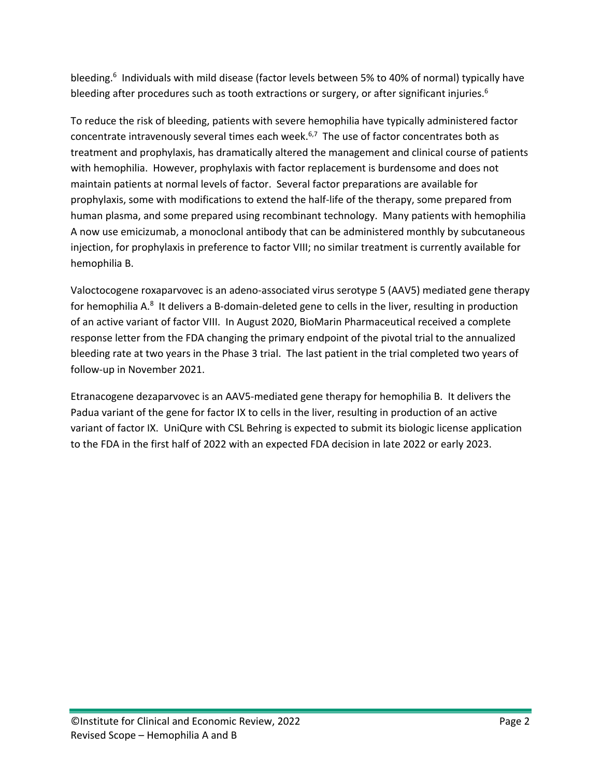bleeding.<sup>6</sup> Individuals with mild disease (factor levels between 5% to 40% of normal) typically have bleeding after procedures such as tooth extractions or surgery, or after significant injuries.<sup>6</sup>

To reduce the risk of bleeding, patients with severe hemophilia have typically administered factor concentrate intravenously several times each week. $6,7$  $6,7$  The use of factor concentrates both as treatment and prophylaxis, has dramatically altered the management and clinical course of patients with hemophilia. However, prophylaxis with factor replacement is burdensome and does not maintain patients at normal levels of factor. Several factor preparations are available for prophylaxis, some with modifications to extend the half-life of the therapy, some prepared from human plasma, and some prepared using recombinant technology. Many patients with hemophilia A now use emicizumab, a monoclonal antibody that can be administered monthly by subcutaneous injection, for prophylaxis in preference to factor VIII; no similar treatment is currently available for hemophilia B.

Valoctocogene roxaparvovec is an adeno-associated virus serotype 5 (AAV5) mediated gene therapy for hemophilia A.<sup>8</sup> It delivers a B-domain-deleted gene to cells in the liver, resulting in production of an active variant of factor VIII. In August 2020, BioMarin Pharmaceutical received a complete response letter from the FDA changing the primary endpoint of the pivotal trial to the annualized bleeding rate at two years in the Phase 3 trial. The last patient in the trial completed two years of follow-up in November 2021.

Etranacogene dezaparvovec is an AAV5-mediated gene therapy for hemophilia B. It delivers the Padua variant of the gene for factor IX to cells in the liver, resulting in production of an active variant of factor IX. UniQure with CSL Behring is expected to submit its biologic license application to the FDA in the first half of 2022 with an expected FDA decision in late 2022 or early 2023.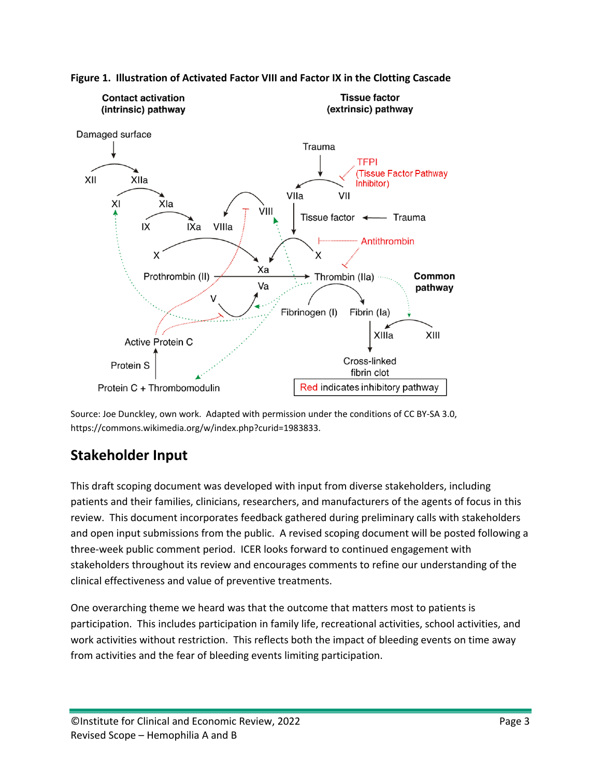



Source: Joe Dunckley, own work. Adapted with permission under the conditions of CC BY-SA 3.0, [https://commons.wikimedia.org/w/index.php?curid=1983833.](https://commons.wikimedia.org/w/index.php?curid=1983833)

# **Stakeholder Input**

This draft scoping document was developed with input from diverse stakeholders, including patients and their families, clinicians, researchers, and manufacturers of the agents of focus in this review. This document incorporates feedback gathered during preliminary calls with stakeholders and open input submissions from the public. A revised scoping document will be posted following a three-week public comment period. ICER looks forward to continued engagement with stakeholders throughout its review and encourages comments to refine our understanding of the clinical effectiveness and value of preventive treatments.

One overarching theme we heard was that the outcome that matters most to patients is participation. This includes participation in family life, recreational activities, school activities, and work activities without restriction. This reflects both the impact of bleeding events on time away from activities and the fear of bleeding events limiting participation.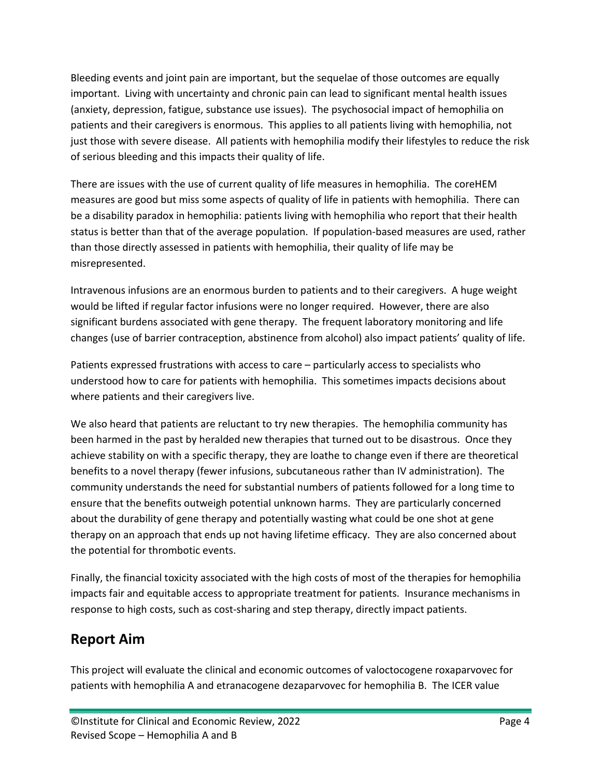Bleeding events and joint pain are important, but the sequelae of those outcomes are equally important. Living with uncertainty and chronic pain can lead to significant mental health issues (anxiety, depression, fatigue, substance use issues). The psychosocial impact of hemophilia on patients and their caregivers is enormous. This applies to all patients living with hemophilia, not just those with severe disease. All patients with hemophilia modify their lifestyles to reduce the risk of serious bleeding and this impacts their quality of life.

There are issues with the use of current quality of life measures in hemophilia. The coreHEM measures are good but miss some aspects of quality of life in patients with hemophilia. There can be a disability paradox in hemophilia: patients living with hemophilia who report that their health status is better than that of the average population. If population-based measures are used, rather than those directly assessed in patients with hemophilia, their quality of life may be misrepresented.

Intravenous infusions are an enormous burden to patients and to their caregivers. A huge weight would be lifted if regular factor infusions were no longer required. However, there are also significant burdens associated with gene therapy. The frequent laboratory monitoring and life changes (use of barrier contraception, abstinence from alcohol) also impact patients' quality of life.

Patients expressed frustrations with access to care – particularly access to specialists who understood how to care for patients with hemophilia. This sometimes impacts decisions about where patients and their caregivers live.

We also heard that patients are reluctant to try new therapies. The hemophilia community has been harmed in the past by heralded new therapies that turned out to be disastrous. Once they achieve stability on with a specific therapy, they are loathe to change even if there are theoretical benefits to a novel therapy (fewer infusions, subcutaneous rather than IV administration). The community understands the need for substantial numbers of patients followed for a long time to ensure that the benefits outweigh potential unknown harms. They are particularly concerned about the durability of gene therapy and potentially wasting what could be one shot at gene therapy on an approach that ends up not having lifetime efficacy. They are also concerned about the potential for thrombotic events.

Finally, the financial toxicity associated with the high costs of most of the therapies for hemophilia impacts fair and equitable access to appropriate treatment for patients. Insurance mechanisms in response to high costs, such as cost-sharing and step therapy, directly impact patients.

## **Report Aim**

This project will evaluate the clinical and economic outcomes of valoctocogene roxaparvovec for patients with hemophilia A and etranacogene dezaparvovec for hemophilia B. The ICER value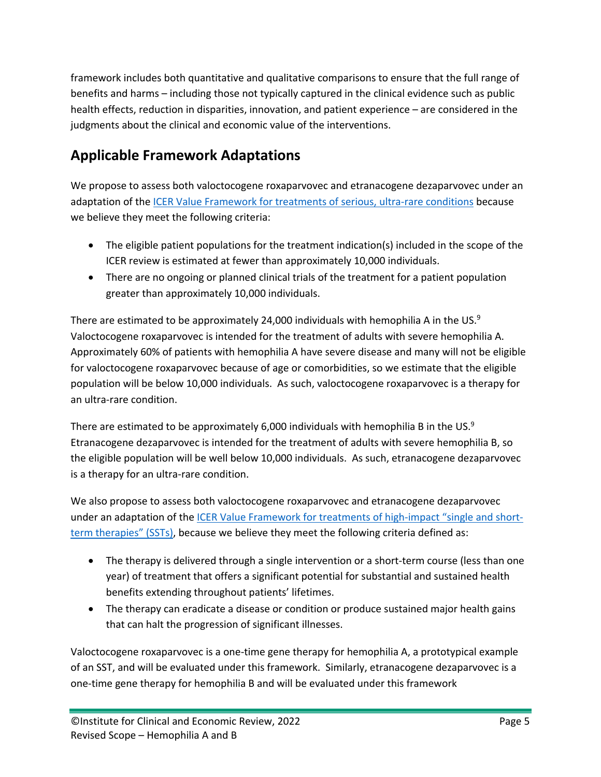framework includes both quantitative and qualitative comparisons to ensure that the full range of benefits and harms – including those not typically captured in the clinical evidence such as public health effects, reduction in disparities, innovation, and patient experience – are considered in the judgments about the clinical and economic value of the interventions.

# **Applicable Framework Adaptations**

We propose to assess both valoctocogene roxaparvovec and etranacogene dezaparvovec under an adaptation of the [ICER Value Framework for treatments of serious, ultra-rare conditions](https://icerorg.wpengine.com/wp-content/uploads/2020/10/ICER_URD_Framework_Adapt_013120.pdf) because we believe they meet the following criteria:

- The eligible patient populations for the treatment indication(s) included in the scope of the ICER review is estimated at fewer than approximately 10,000 individuals.
- There are no ongoing or planned clinical trials of the treatment for a patient population greater than approximately 10,000 individuals.

There are estimated to be approximately 24,000 individuals with hemophilia A in the US. $9$ Valoctocogene roxaparvovec is intended for the treatment of adults with severe hemophilia A. Approximately 60% of patients with hemophilia A have severe disease and many will not be eligible for valoctocogene roxaparvovec because of age or comorbidities, so we estimate that the eligible population will be below 10,000 individuals. As such, valoctocogene roxaparvovec is a therapy for an ultra-rare condition.

There are estimated to be approximately 6,000 individuals with hemophilia B in the US. $9$ Etranacogene dezaparvovec is intended for the treatment of adults with severe hemophilia B, so the eligible population will be well below 10,000 individuals. As such, etranacogene dezaparvovec is a therapy for an ultra-rare condition.

We also propose to assess both valoctocogene roxaparvovec and etranacogene dezaparvovec under an adaptation of th[e ICER Value Framework for treatments of high-impact "single and short](https://icerorg.wpengine.com/wp-content/uploads/2020/10/ICER_SST_FinalAdaptations_111219-1.pdf)[term therapies" \(SSTs\),](https://icerorg.wpengine.com/wp-content/uploads/2020/10/ICER_SST_FinalAdaptations_111219-1.pdf) because we believe they meet the following criteria defined as:

- The therapy is delivered through a single intervention or a short-term course (less than one year) of treatment that offers a significant potential for substantial and sustained health benefits extending throughout patients' lifetimes.
- The therapy can eradicate a disease or condition or produce sustained major health gains that can halt the progression of significant illnesses.

Valoctocogene roxaparvovec is a one-time gene therapy for hemophilia A, a prototypical example of an SST, and will be evaluated under this framework. Similarly, etranacogene dezaparvovec is a one-time gene therapy for hemophilia B and will be evaluated under this framework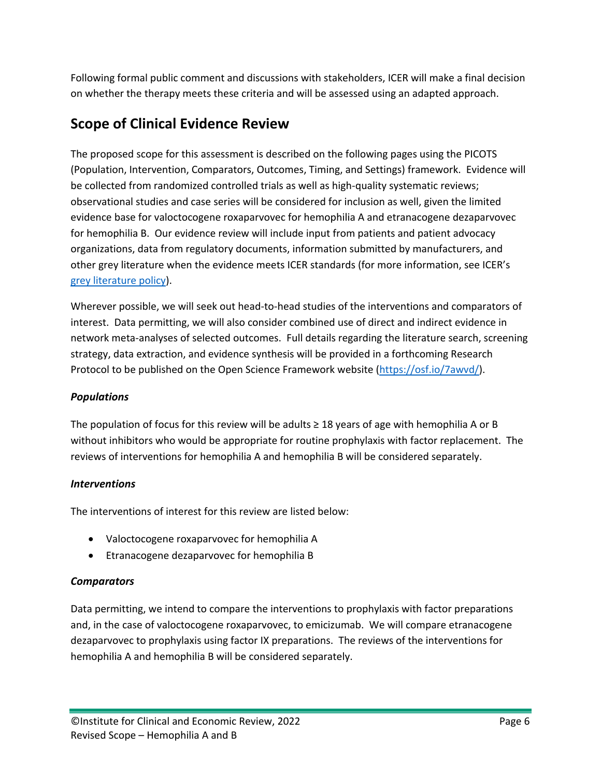Following formal public comment and discussions with stakeholders, ICER will make a final decision on whether the therapy meets these criteria and will be assessed using an adapted approach.

## **Scope of Clinical Evidence Review**

The proposed scope for this assessment is described on the following pages using the PICOTS (Population, Intervention, Comparators, Outcomes, Timing, and Settings) framework. Evidence will be collected from randomized controlled trials as well as high-quality systematic reviews; observational studies and case series will be considered for inclusion as well, given the limited evidence base for valoctocogene roxaparvovec for hemophilia A and etranacogene dezaparvovec for hemophilia B. Our evidence review will include input from patients and patient advocacy organizations, data from regulatory documents, information submitted by manufacturers, and other grey literature when the evidence meets ICER standards (for more information, see ICER's [grey literature policy\)](https://icer.org/policy-on-inclusion-of-grey-literature-in-evidence-reviews/).

Wherever possible, we will seek out head-to-head studies of the interventions and comparators of interest. Data permitting, we will also consider combined use of direct and indirect evidence in network meta-analyses of selected outcomes. Full details regarding the literature search, screening strategy, data extraction, and evidence synthesis will be provided in a forthcoming Research Protocol to be published on the Open Science Framework website [\(https://osf.io/7awvd/\)](https://osf.io/7awvd/).

#### *Populations*

The population of focus for this review will be adults  $\geq$  18 years of age with hemophilia A or B without inhibitors who would be appropriate for routine prophylaxis with factor replacement. The reviews of interventions for hemophilia A and hemophilia B will be considered separately.

#### *Interventions*

The interventions of interest for this review are listed below:

- Valoctocogene roxaparvovec for hemophilia A
- Etranacogene dezaparvovec for hemophilia B

#### *Comparators*

Data permitting, we intend to compare the interventions to prophylaxis with factor preparations and, in the case of valoctocogene roxaparvovec, to emicizumab. We will compare etranacogene dezaparvovec to prophylaxis using factor IX preparations. The reviews of the interventions for hemophilia A and hemophilia B will be considered separately.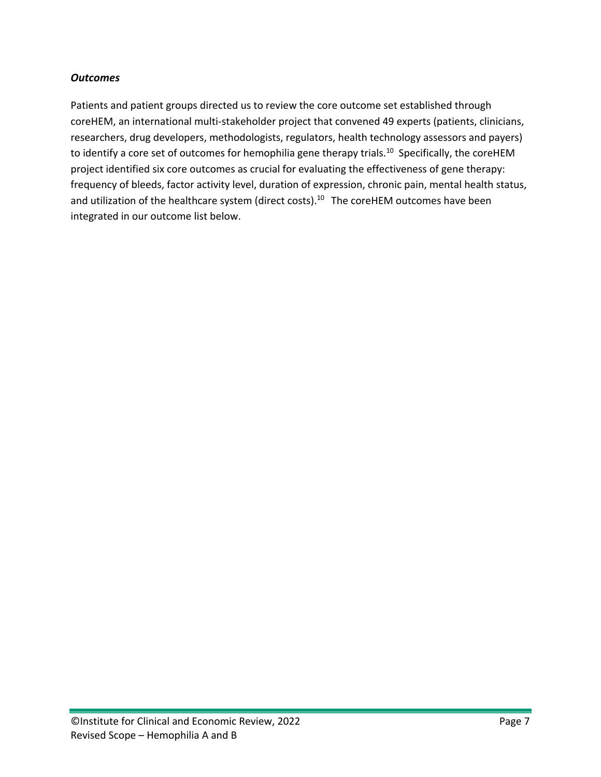#### *Outcomes*

Patients and patient groups directed us to review the core outcome set established through coreHEM, an international multi-stakeholder project that convened 49 experts (patients, clinicians, researchers, drug developers, methodologists, regulators, health technology assessors and payers) to identify a core set of outcomes for hemophilia gene therapy trials.<sup>10</sup> Specifically, the coreHEM project identified six core outcomes as crucial for evaluating the effectiveness of gene therapy: frequency of bleeds, factor activity level, duration of expression, chronic pain, mental health status, and utilization of the healthcare system (direct costs).<sup>10</sup> The coreHEM outcomes have been integrated in our outcome list below.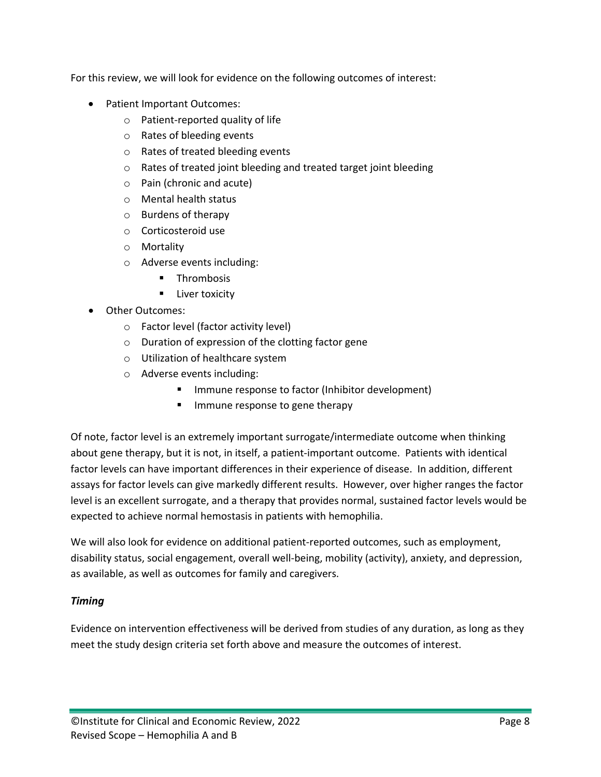For this review, we will look for evidence on the following outcomes of interest:

- Patient Important Outcomes:
	- o Patient-reported quality of life
	- o Rates of bleeding events
	- o Rates of treated bleeding events
	- o Rates of treated joint bleeding and treated target joint bleeding
	- o Pain (chronic and acute)
	- o Mental health status
	- o Burdens of therapy
	- o Corticosteroid use
	- o Mortality
	- o Adverse events including:
		- **Thrombosis**
		- **E** Liver toxicity
- Other Outcomes:
	- o Factor level (factor activity level)
	- o Duration of expression of the clotting factor gene
	- o Utilization of healthcare system
	- o Adverse events including:
		- **IMMULE 19** Immune response to factor (Inhibitor development)
		- **IMMUNE response to gene therapy**

Of note, factor level is an extremely important surrogate/intermediate outcome when thinking about gene therapy, but it is not, in itself, a patient-important outcome. Patients with identical factor levels can have important differences in their experience of disease. In addition, different assays for factor levels can give markedly different results. However, over higher ranges the factor level is an excellent surrogate, and a therapy that provides normal, sustained factor levels would be expected to achieve normal hemostasis in patients with hemophilia.

We will also look for evidence on additional patient-reported outcomes, such as employment, disability status, social engagement, overall well-being, mobility (activity), anxiety, and depression, as available, as well as outcomes for family and caregivers.

#### *Timing*

Evidence on intervention effectiveness will be derived from studies of any duration, as long as they meet the study design criteria set forth above and measure the outcomes of interest.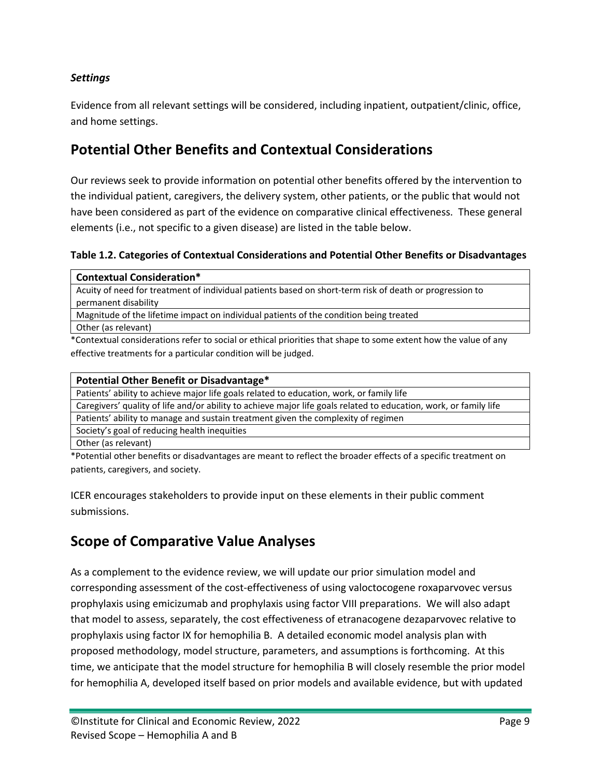#### *Settings*

Evidence from all relevant settings will be considered, including inpatient, outpatient/clinic, office, and home settings.

## **Potential Other Benefits and Contextual Considerations**

Our reviews seek to provide information on potential other benefits offered by the intervention to the individual patient, caregivers, the delivery system, other patients, or the public that would not have been considered as part of the evidence on comparative clinical effectiveness. These general elements (i.e., not specific to a given disease) are listed in the table below.

#### **Table 1.2. Categories of Contextual Considerations and Potential Other Benefits or Disadvantages**

| <b>Contextual Consideration*</b>                                                                        |
|---------------------------------------------------------------------------------------------------------|
| Acuity of need for treatment of individual patients based on short-term risk of death or progression to |
| permanent disability                                                                                    |
| Magnitude of the lifetime impact on individual patients of the condition being treated                  |
| $\sim$ $\sim$ $\sim$ $\sim$ $\sim$                                                                      |

Other (as relevant)

\*Contextual considerations refer to social or ethical priorities that shape to some extent how the value of any effective treatments for a particular condition will be judged.

#### **Potential Other Benefit or Disadvantage\***

Patients' ability to achieve major life goals related to education, work, or family life

Caregivers' quality of life and/or ability to achieve major life goals related to education, work, or family life

Patients' ability to manage and sustain treatment given the complexity of regimen

Society's goal of reducing health inequities

Other (as relevant)

\*Potential other benefits or disadvantages are meant to reflect the broader effects of a specific treatment on patients, caregivers, and society.

ICER encourages stakeholders to provide input on these elements in their public comment submissions.

# **Scope of Comparative Value Analyses**

As a complement to the evidence review, we will update our prior simulation model and corresponding assessment of the cost-effectiveness of using valoctocogene roxaparvovec versus prophylaxis using emicizumab and prophylaxis using factor VIII preparations. We will also adapt that model to assess, separately, the cost effectiveness of etranacogene dezaparvovec relative to prophylaxis using factor IX for hemophilia B. A detailed economic model analysis plan with proposed methodology, model structure, parameters, and assumptions is forthcoming. At this time, we anticipate that the model structure for hemophilia B will closely resemble the prior model for hemophilia A, developed itself based on prior models and available evidence, but with updated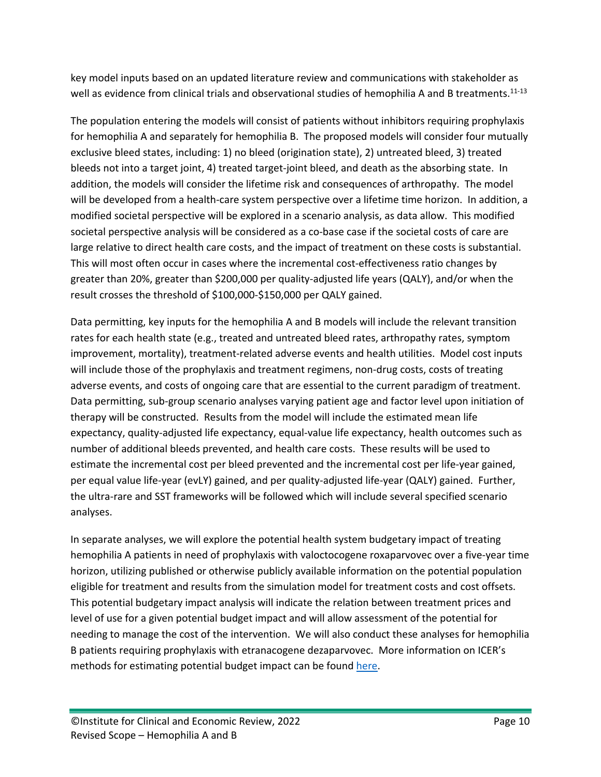key model inputs based on an updated literature review and communications with stakeholder as well as evidence from clinical trials and observational studies of hemophilia A and B treatments.<sup>11-13</sup>

The population entering the models will consist of patients without inhibitors requiring prophylaxis for hemophilia A and separately for hemophilia B. The proposed models will consider four mutually exclusive bleed states, including: 1) no bleed (origination state), 2) untreated bleed, 3) treated bleeds not into a target joint, 4) treated target-joint bleed, and death as the absorbing state. In addition, the models will consider the lifetime risk and consequences of arthropathy. The model will be developed from a health-care system perspective over a lifetime time horizon. In addition, a modified societal perspective will be explored in a scenario analysis, as data allow. This modified societal perspective analysis will be considered as a co-base case if the societal costs of care are large relative to direct health care costs, and the impact of treatment on these costs is substantial. This will most often occur in cases where the incremental cost-effectiveness ratio changes by greater than 20%, greater than \$200,000 per quality-adjusted life years (QALY), and/or when the result crosses the threshold of \$100,000-\$150,000 per QALY gained.

Data permitting, key inputs for the hemophilia A and B models will include the relevant transition rates for each health state (e.g., treated and untreated bleed rates, arthropathy rates, symptom improvement, mortality), treatment-related adverse events and health utilities. Model cost inputs will include those of the prophylaxis and treatment regimens, non-drug costs, costs of treating adverse events, and costs of ongoing care that are essential to the current paradigm of treatment. Data permitting, sub-group scenario analyses varying patient age and factor level upon initiation of therapy will be constructed. Results from the model will include the estimated mean life expectancy, quality-adjusted life expectancy, equal-value life expectancy, health outcomes such as number of additional bleeds prevented, and health care costs. These results will be used to estimate the incremental cost per bleed prevented and the incremental cost per life-year gained, per equal value life-year (evLY) gained, and per quality-adjusted life-year (QALY) gained. Further, the ultra-rare and SST frameworks will be followed which will include several specified scenario analyses.

In separate analyses, we will explore the potential health system budgetary impact of treating hemophilia A patients in need of prophylaxis with valoctocogene roxaparvovec over a five-year time horizon, utilizing published or otherwise publicly available information on the potential population eligible for treatment and results from the simulation model for treatment costs and cost offsets. This potential budgetary impact analysis will indicate the relation between treatment prices and level of use for a given potential budget impact and will allow assessment of the potential for needing to manage the cost of the intervention. We will also conduct these analyses for hemophilia B patients requiring prophylaxis with etranacogene dezaparvovec. More information on ICER's methods for estimating potential budget impact can be found [here.](https://icer.org/wp-content/uploads/2021/03/ICER_2020_2023_VAF_013120-4-2.pdf)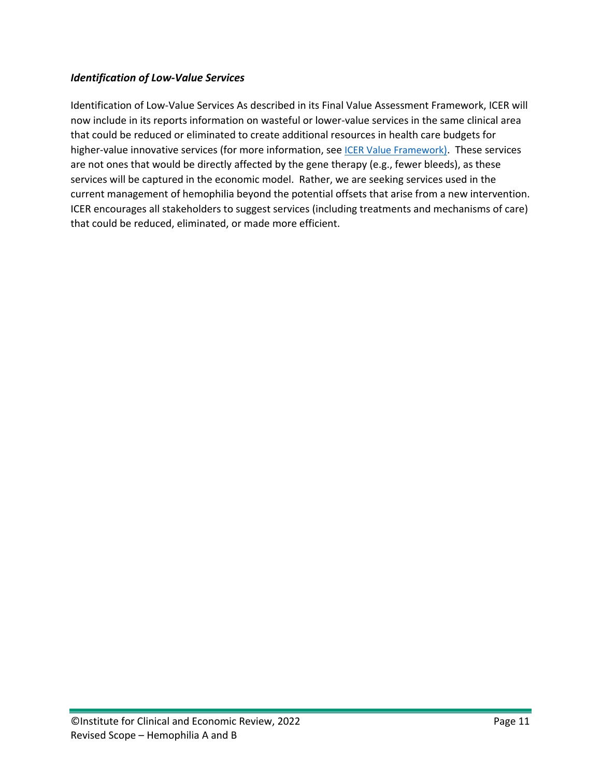#### *Identification of Low-Value Services*

Identification of Low-Value Services As described in its Final Value Assessment Framework, ICER will now include in its reports information on wasteful or lower-value services in the same clinical area that could be reduced or eliminated to create additional resources in health care budgets for higher-value innovative services (for more information, see *ICER Value Framework*). These services are not ones that would be directly affected by the gene therapy (e.g., fewer bleeds), as these services will be captured in the economic model. Rather, we are seeking services used in the current management of hemophilia beyond the potential offsets that arise from a new intervention. ICER encourages all stakeholders to suggest services (including treatments and mechanisms of care) that could be reduced, eliminated, or made more efficient.